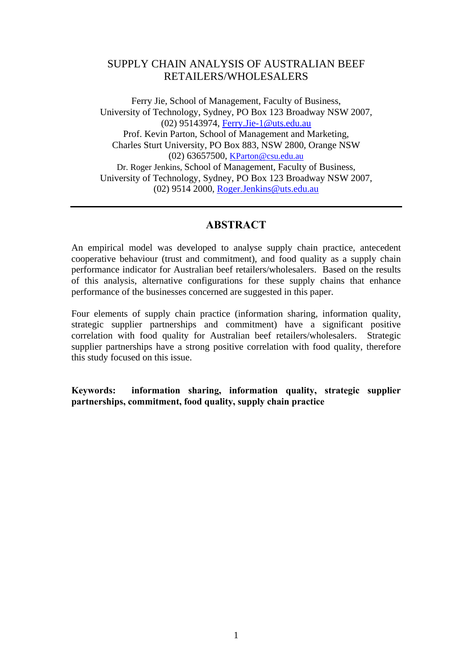# SUPPLY CHAIN ANALYSIS OF AUSTRALIAN BEEF RETAILERS/WHOLESALERS

Ferry Jie, School of Management, Faculty of Business, University of Technology, Sydney, PO Box 123 Broadway NSW 2007, (02) 95143974, [Ferry.Jie-1@uts.edu.au](mailto:Ferry.Jie-1@uts.edu.au) Prof. Kevin Parton, School of Management and Marketing, Charles Sturt University, PO Box 883, NSW 2800, Orange NSW (02) 63657500, [KParton@csu.edu.au](mailto:KParton@csu.edu.au) Dr. Roger Jenkins, School of Management, Faculty of Business, University of Technology, Sydney, PO Box 123 Broadway NSW 2007, (02) 9514 2000, Roger.Jenkins@uts.edu.au

### **ABSTRACT**

An empirical model was developed to analyse supply chain practice, antecedent cooperative behaviour (trust and commitment), and food quality as a supply chain performance indicator for Australian beef retailers/wholesalers. Based on the results of this analysis, alternative configurations for these supply chains that enhance performance of the businesses concerned are suggested in this paper.

Four elements of supply chain practice (information sharing, information quality, strategic supplier partnerships and commitment) have a significant positive correlation with food quality for Australian beef retailers/wholesalers. Strategic supplier partnerships have a strong positive correlation with food quality, therefore this study focused on this issue.

**Keywords: information sharing, information quality, strategic supplier partnerships, commitment, food quality, supply chain practice**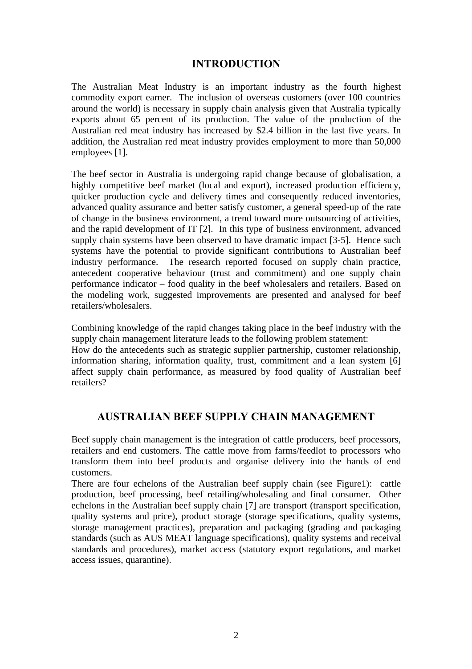# **INTRODUCTION**

The Australian Meat Industry is an important industry as the fourth highest commodity export earner. The inclusion of overseas customers (over 100 countries around the world) is necessary in supply chain analysis given that Australia typically exports about 65 percent of its production. The value of the production of the Australian red meat industry has increased by \$2.4 billion in the last five years. In addition, the Australian red meat industry provides employment to more than 50,000 employees [1].

The beef sector in Australia is undergoing rapid change because of globalisation, a highly competitive beef market (local and export), increased production efficiency, quicker production cycle and delivery times and consequently reduced inventories, advanced quality assurance and better satisfy customer, a general speed-up of the rate of change in the business environment, a trend toward more outsourcing of activities, and the rapid development of IT [2]. In this type of business environment, advanced supply chain systems have been observed to have dramatic impact [3-5]. Hence such systems have the potential to provide significant contributions to Australian beef industry performance. The research reported focused on supply chain practice, antecedent cooperative behaviour (trust and commitment) and one supply chain performance indicator – food quality in the beef wholesalers and retailers. Based on the modeling work, suggested improvements are presented and analysed for beef retailers/wholesalers.

Combining knowledge of the rapid changes taking place in the beef industry with the supply chain management literature leads to the following problem statement:

How do the antecedents such as strategic supplier partnership, customer relationship, information sharing, information quality, trust, commitment and a lean system [6] affect supply chain performance, as measured by food quality of Australian beef retailers?

# **AUSTRALIAN BEEF SUPPLY CHAIN MANAGEMENT**

Beef supply chain management is the integration of cattle producers, beef processors, retailers and end customers. The cattle move from farms/feedlot to processors who transform them into beef products and organise delivery into the hands of end customers.

There are four echelons of the Australian beef supply chain (see Figure1): cattle production, beef processing, beef retailing/wholesaling and final consumer. Other echelons in the Australian beef supply chain [7] are transport (transport specification, quality systems and price), product storage (storage specifications, quality systems, storage management practices), preparation and packaging (grading and packaging standards (such as AUS MEAT language specifications), quality systems and receival standards and procedures), market access (statutory export regulations, and market access issues, quarantine).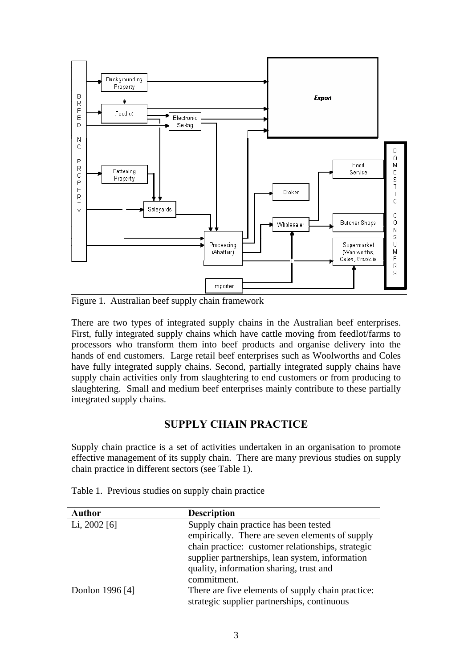

Figure 1. Australian beef supply chain framework

There are two types of integrated supply chains in the Australian beef enterprises. First, fully integrated supply chains which have cattle moving from feedlot/farms to processors who transform them into beef products and organise delivery into the hands of end customers. Large retail beef enterprises such as Woolworths and Coles have fully integrated supply chains. Second, partially integrated supply chains have supply chain activities only from slaughtering to end customers or from producing to slaughtering. Small and medium beef enterprises mainly contribute to these partially integrated supply chains.

# **SUPPLY CHAIN PRACTICE**

Supply chain practice is a set of activities undertaken in an organisation to promote effective management of its supply chain. There are many previous studies on supply chain practice in different sectors (see Table 1).

| <b>Author</b>   | <b>Description</b>                                |
|-----------------|---------------------------------------------------|
| Li, $2002$ [6]  | Supply chain practice has been tested             |
|                 | empirically. There are seven elements of supply   |
|                 | chain practice: customer relationships, strategic |
|                 | supplier partnerships, lean system, information   |
|                 | quality, information sharing, trust and           |
|                 | commitment.                                       |
| Donlon 1996 [4] | There are five elements of supply chain practice: |
|                 | strategic supplier partnerships, continuous       |

Table 1. Previous studies on supply chain practice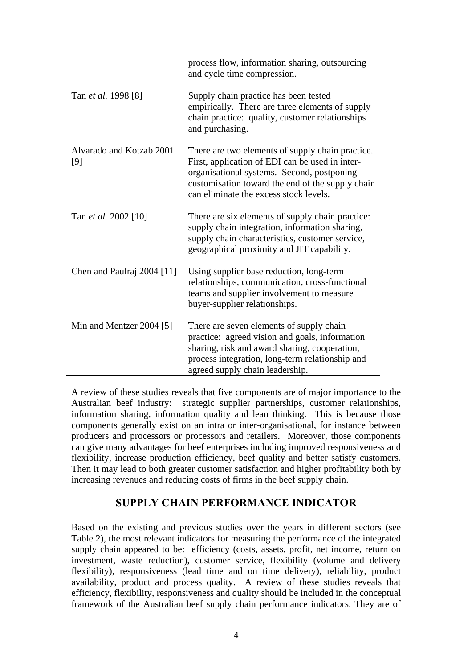|                                 | process flow, information sharing, outsourcing<br>and cycle time compression.                                                                                                                                                                   |
|---------------------------------|-------------------------------------------------------------------------------------------------------------------------------------------------------------------------------------------------------------------------------------------------|
| Tan <i>et al.</i> 1998 [8]      | Supply chain practice has been tested<br>empirically. There are three elements of supply<br>chain practice: quality, customer relationships<br>and purchasing.                                                                                  |
| Alvarado and Kotzab 2001<br>[9] | There are two elements of supply chain practice.<br>First, application of EDI can be used in inter-<br>organisational systems. Second, postponing<br>customisation toward the end of the supply chain<br>can eliminate the excess stock levels. |
| Tan et al. 2002 [10]            | There are six elements of supply chain practice:<br>supply chain integration, information sharing,<br>supply chain characteristics, customer service,<br>geographical proximity and JIT capability.                                             |
| Chen and Paulraj 2004 [11]      | Using supplier base reduction, long-term<br>relationships, communication, cross-functional<br>teams and supplier involvement to measure<br>buyer-supplier relationships.                                                                        |
| Min and Mentzer 2004 [5]        | There are seven elements of supply chain<br>practice: agreed vision and goals, information<br>sharing, risk and award sharing, cooperation,<br>process integration, long-term relationship and<br>agreed supply chain leadership.               |

A review of these studies reveals that five components are of major importance to the Australian beef industry: strategic supplier partnerships, customer relationships, information sharing, information quality and lean thinking. This is because those components generally exist on an intra or inter-organisational, for instance between producers and processors or processors and retailers. Moreover, those components can give many advantages for beef enterprises including improved responsiveness and flexibility, increase production efficiency, beef quality and better satisfy customers. Then it may lead to both greater customer satisfaction and higher profitability both by increasing revenues and reducing costs of firms in the beef supply chain.

# **SUPPLY CHAIN PERFORMANCE INDICATOR**

Based on the existing and previous studies over the years in different sectors (see Table 2), the most relevant indicators for measuring the performance of the integrated supply chain appeared to be: efficiency (costs, assets, profit, net income, return on investment, waste reduction), customer service, flexibility (volume and delivery flexibility), responsiveness (lead time and on time delivery), reliability, product availability, product and process quality. A review of these studies reveals that efficiency, flexibility, responsiveness and quality should be included in the conceptual framework of the Australian beef supply chain performance indicators. They are of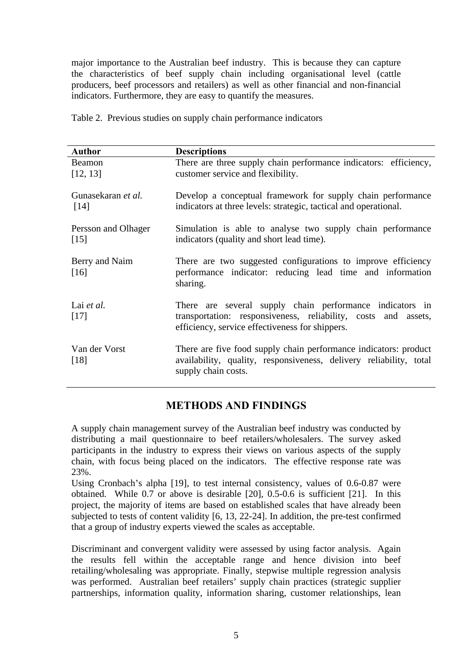major importance to the Australian beef industry. This is because they can capture the characteristics of beef supply chain including organisational level (cattle producers, beef processors and retailers) as well as other financial and non-financial indicators. Furthermore, they are easy to quantify the measures.

| <b>Author</b>                            | <b>Descriptions</b>                                                                                                                                                           |
|------------------------------------------|-------------------------------------------------------------------------------------------------------------------------------------------------------------------------------|
| Beamon<br>[12, 13]                       | There are three supply chain performance indicators: efficiency,<br>customer service and flexibility.                                                                         |
| Gunasekaran et al.<br>$\lceil 14 \rceil$ | Develop a conceptual framework for supply chain performance<br>indicators at three levels: strategic, tactical and operational.                                               |
| Persson and Olhager<br>$[15]$            | Simulation is able to analyse two supply chain performance<br>indicators (quality and short lead time).                                                                       |
| Berry and Naim<br>$[16]$                 | There are two suggested configurations to improve efficiency<br>performance indicator: reducing lead time and information<br>sharing.                                         |
| Lai et al.<br>$[17]$                     | There are several supply chain performance indicators in<br>transportation: responsiveness, reliability, costs and assets,<br>efficiency, service effectiveness for shippers. |
| Van der Vorst<br>$[18]$                  | There are five food supply chain performance indicators: product<br>availability, quality, responsiveness, delivery reliability, total<br>supply chain costs.                 |

Table 2. Previous studies on supply chain performance indicators

# **METHODS AND FINDINGS**

A supply chain management survey of the Australian beef industry was conducted by distributing a mail questionnaire to beef retailers/wholesalers. The survey asked participants in the industry to express their views on various aspects of the supply chain, with focus being placed on the indicators. The effective response rate was 23%.

Using Cronbach's alpha [19], to test internal consistency, values of 0.6-0.87 were obtained. While 0.7 or above is desirable [20], 0.5-0.6 is sufficient [21]. In this project, the majority of items are based on established scales that have already been subjected to tests of content validity [6, 13, 22-24]. In addition, the pre-test confirmed that a group of industry experts viewed the scales as acceptable.

Discriminant and convergent validity were assessed by using factor analysis. Again the results fell within the acceptable range and hence division into beef retailing/wholesaling was appropriate. Finally, stepwise multiple regression analysis was performed. Australian beef retailers' supply chain practices (strategic supplier partnerships, information quality, information sharing, customer relationships, lean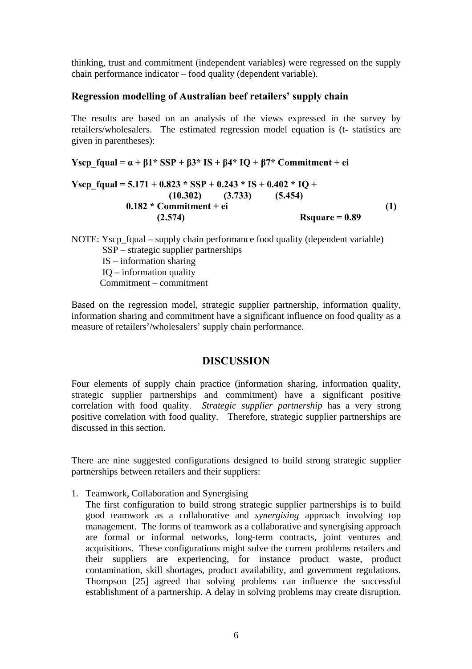thinking, trust and commitment (independent variables) were regressed on the supply chain performance indicator – food quality (dependent variable).

#### **Regression modelling of Australian beef retailers' supply chain**

The results are based on an analysis of the views expressed in the survey by retailers/wholesalers. The estimated regression model equation is (t- statistics are given in parentheses):

**Yscp**  $faual = \alpha + \beta1*SSP + \beta3*IS + \beta4*IO + \beta7*Comment + ei$ 

Yscp\_fqual = 
$$
5.171 + 0.823 * SSP + 0.243 * IS + 0.402 * IQ +
$$
  
\n $(10.302)$  (3.733) (5.454)  
\n $0.182 * Comment + ei$   
\n $(2.574)$   $(1)$    
\n**854**  $(1)$ 

NOTE: Yscp fqual – supply chain performance food quality (dependent variable) SSP – strategic supplier partnerships IS – information sharing IQ – information quality Commitment – commitment

Based on the regression model, strategic supplier partnership, information quality, information sharing and commitment have a significant influence on food quality as a measure of retailers'/wholesalers' supply chain performance.

### **DISCUSSION**

Four elements of supply chain practice (information sharing, information quality, strategic supplier partnerships and commitment) have a significant positive correlation with food quality. *Strategic supplier partnership* has a very strong positive correlation with food quality. Therefore, strategic supplier partnerships are discussed in this section.

There are nine suggested configurations designed to build strong strategic supplier partnerships between retailers and their suppliers:

1. Teamwork, Collaboration and Synergising

The first configuration to build strong strategic supplier partnerships is to build good teamwork as a collaborative and *synergising* approach involving top management. The forms of teamwork as a collaborative and synergising approach are formal or informal networks, long-term contracts, joint ventures and acquisitions. These configurations might solve the current problems retailers and their suppliers are experiencing, for instance product waste, product contamination, skill shortages, product availability, and government regulations. Thompson [25] agreed that solving problems can influence the successful establishment of a partnership. A delay in solving problems may create disruption.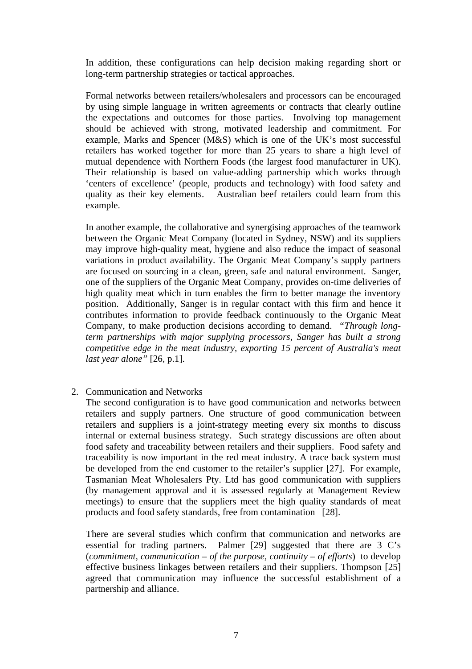In addition, these configurations can help decision making regarding short or long-term partnership strategies or tactical approaches.

Formal networks between retailers/wholesalers and processors can be encouraged by using simple language in written agreements or contracts that clearly outline the expectations and outcomes for those parties. Involving top management should be achieved with strong, motivated leadership and commitment. For example, Marks and Spencer (M&S) which is one of the UK's most successful retailers has worked together for more than 25 years to share a high level of mutual dependence with Northern Foods (the largest food manufacturer in UK). Their relationship is based on value-adding partnership which works through 'centers of excellence' (people, products and technology) with food safety and quality as their key elements. Australian beef retailers could learn from this example.

In another example, the collaborative and synergising approaches of the teamwork between the Organic Meat Company (located in Sydney, NSW) and its suppliers may improve high-quality meat, hygiene and also reduce the impact of seasonal variations in product availability. The Organic Meat Company's supply partners are focused on sourcing in a clean, green, safe and natural environment. Sanger, one of the suppliers of the Organic Meat Company, provides on-time deliveries of high quality meat which in turn enables the firm to better manage the inventory position. Additionally, Sanger is in regular contact with this firm and hence it contributes information to provide feedback continuously to the Organic Meat Company, to make production decisions according to demand. *"Through longterm partnerships with major supplying processors, Sanger has built a strong competitive edge in the meat industry, exporting 15 percent of Australia's meat last year alone"* [26, p.1].

2. Communication and Networks

The second configuration is to have good communication and networks between retailers and supply partners. One structure of good communication between retailers and suppliers is a joint-strategy meeting every six months to discuss internal or external business strategy. Such strategy discussions are often about food safety and traceability between retailers and their suppliers. Food safety and traceability is now important in the red meat industry. A trace back system must be developed from the end customer to the retailer's supplier [27]. For example, Tasmanian Meat Wholesalers Pty. Ltd has good communication with suppliers (by management approval and it is assessed regularly at Management Review meetings) to ensure that the suppliers meet the high quality standards of meat products and food safety standards, free from contamination [28].

There are several studies which confirm that communication and networks are essential for trading partners. Palmer [29] suggested that there are 3 C's (*commitment, communication – of the purpose, continuity – of efforts*) to develop effective business linkages between retailers and their suppliers. Thompson [25] agreed that communication may influence the successful establishment of a partnership and alliance.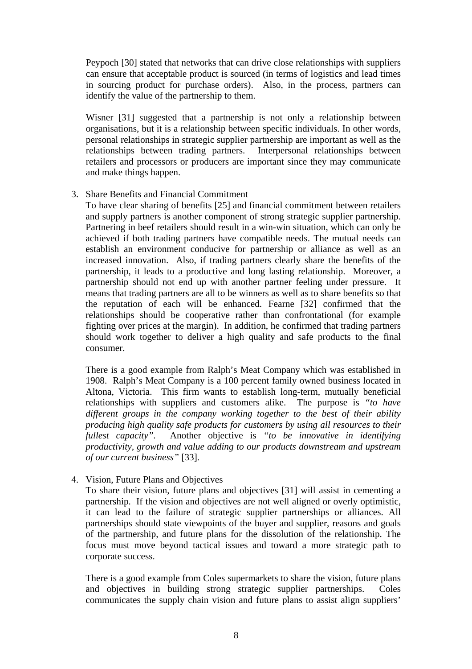Peypoch [30] stated that networks that can drive close relationships with suppliers can ensure that acceptable product is sourced (in terms of logistics and lead times in sourcing product for purchase orders). Also, in the process, partners can identify the value of the partnership to them.

Wisner [31] suggested that a partnership is not only a relationship between organisations, but it is a relationship between specific individuals. In other words, personal relationships in strategic supplier partnership are important as well as the relationships between trading partners. Interpersonal relationships between retailers and processors or producers are important since they may communicate and make things happen.

3. Share Benefits and Financial Commitment

To have clear sharing of benefits [25] and financial commitment between retailers and supply partners is another component of strong strategic supplier partnership. Partnering in beef retailers should result in a win-win situation, which can only be achieved if both trading partners have compatible needs. The mutual needs can establish an environment conducive for partnership or alliance as well as an increased innovation. Also, if trading partners clearly share the benefits of the partnership, it leads to a productive and long lasting relationship. Moreover, a partnership should not end up with another partner feeling under pressure. It means that trading partners are all to be winners as well as to share benefits so that the reputation of each will be enhanced. Fearne [32] confirmed that the relationships should be cooperative rather than confrontational (for example fighting over prices at the margin). In addition, he confirmed that trading partners should work together to deliver a high quality and safe products to the final consumer.

There is a good example from Ralph's Meat Company which was established in 1908. Ralph's Meat Company is a 100 percent family owned business located in Altona, Victoria. This firm wants to establish long-term, mutually beneficial relationships with suppliers and customers alike. The purpose is *"to have different groups in the company working together to the best of their ability producing high quality safe products for customers by using all resources to their fullest capacity".* Another objective is *"to be innovative in identifying productivity, growth and value adding to our products downstream and upstream of our current business"* [33].

4. Vision, Future Plans and Objectives

To share their vision, future plans and objectives [31] will assist in cementing a partnership. If the vision and objectives are not well aligned or overly optimistic, it can lead to the failure of strategic supplier partnerships or alliances. All partnerships should state viewpoints of the buyer and supplier, reasons and goals of the partnership, and future plans for the dissolution of the relationship. The focus must move beyond tactical issues and toward a more strategic path to corporate success.

There is a good example from Coles supermarkets to share the vision, future plans and objectives in building strong strategic supplier partnerships. Coles communicates the supply chain vision and future plans to assist align suppliers'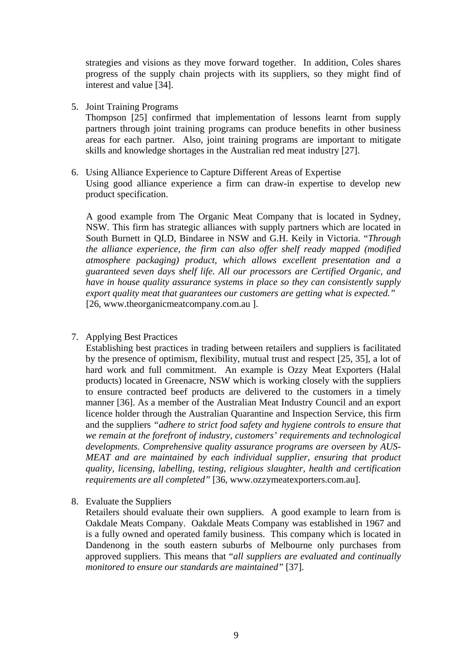strategies and visions as they move forward together. In addition, Coles shares progress of the supply chain projects with its suppliers, so they might find of interest and value [34].

5. Joint Training Programs

Thompson [25] confirmed that implementation of lessons learnt from supply partners through joint training programs can produce benefits in other business areas for each partner. Also, joint training programs are important to mitigate skills and knowledge shortages in the Australian red meat industry [27].

6. Using Alliance Experience to Capture Different Areas of Expertise Using good alliance experience a firm can draw-in expertise to develop new product specification.

A good example from The Organic Meat Company that is located in Sydney, NSW. This firm has strategic alliances with supply partners which are located in South Burnett in QLD, Bindaree in NSW and G.H. Keily in Victoria. "*Through the alliance experience, the firm can also offer shelf ready mapped (modified atmosphere packaging) product, which allows excellent presentation and a guaranteed seven days shelf life. All our processors are Certified Organic, and have in house quality assurance systems in place so they can consistently supply export quality meat that guarantees our customers are getting what is expected."*  [26, www.theorganicmeatcompany.com.au ].

7. Applying Best Practices

Establishing best practices in trading between retailers and suppliers is facilitated by the presence of optimism, flexibility, mutual trust and respect [25, 35], a lot of hard work and full commitment. An example is Ozzy Meat Exporters (Halal products) located in Greenacre, NSW which is working closely with the suppliers to ensure contracted beef products are delivered to the customers in a timely manner [36]. As a member of the Australian Meat Industry Council and an export licence holder through the Australian Quarantine and Inspection Service, this firm and the suppliers *"adhere to strict food safety and hygiene controls to ensure that we remain at the forefront of industry, customers' requirements and technological developments. Comprehensive quality assurance programs are overseen by AUS-MEAT and are maintained by each individual supplier, ensuring that product quality, licensing, labelling, testing, religious slaughter, health and certification requirements are all completed"* [36, www.ozzymeatexporters.com.au].

8. Evaluate the Suppliers

Retailers should evaluate their own suppliers. A good example to learn from is Oakdale Meats Company. Oakdale Meats Company was established in 1967 and is a fully owned and operated family business. This company which is located in Dandenong in the south eastern suburbs of Melbourne only purchases from approved suppliers. This means that "*all suppliers are evaluated and continually monitored to ensure our standards are maintained"* [37].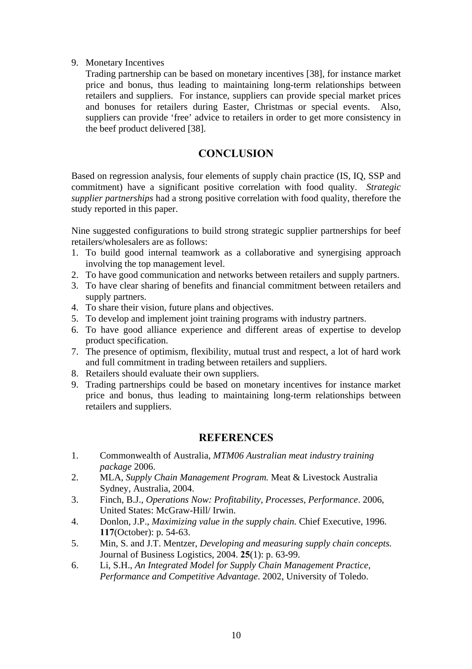#### 9. Monetary Incentives

Trading partnership can be based on monetary incentives [38], for instance market price and bonus, thus leading to maintaining long-term relationships between retailers and suppliers. For instance, suppliers can provide special market prices and bonuses for retailers during Easter, Christmas or special events. Also, suppliers can provide 'free' advice to retailers in order to get more consistency in the beef product delivered [38].

# **CONCLUSION**

Based on regression analysis, four elements of supply chain practice (IS, IQ, SSP and commitment) have a significant positive correlation with food quality. *Strategic supplier partnerships* had a strong positive correlation with food quality, therefore the study reported in this paper.

Nine suggested configurations to build strong strategic supplier partnerships for beef retailers/wholesalers are as follows:

- 1. To build good internal teamwork as a collaborative and synergising approach involving the top management level.
- 2. To have good communication and networks between retailers and supply partners.
- 3. To have clear sharing of benefits and financial commitment between retailers and supply partners.
- 4. To share their vision, future plans and objectives.
- 5. To develop and implement joint training programs with industry partners.
- 6. To have good alliance experience and different areas of expertise to develop product specification.
- 7. The presence of optimism, flexibility, mutual trust and respect, a lot of hard work and full commitment in trading between retailers and suppliers.
- 8. Retailers should evaluate their own suppliers.
- 9. Trading partnerships could be based on monetary incentives for instance market price and bonus, thus leading to maintaining long-term relationships between retailers and suppliers.

# **REFERENCES**

- 1. Commonwealth of Australia, *MTM06 Australian meat industry training package* 2006.
- 2. MLA, *Supply Chain Management Program.* Meat & Livestock Australia Sydney, Australia, 2004.
- 3. Finch, B.J., *Operations Now: Profitability, Processes, Performance*. 2006, United States: McGraw-Hill/ Irwin.
- 4. Donlon, J.P., *Maximizing value in the supply chain.* Chief Executive, 1996. **117**(October): p. 54-63.
- 5. Min, S. and J.T. Mentzer, *Developing and measuring supply chain concepts.* Journal of Business Logistics, 2004. **25**(1): p. 63-99.
- 6. Li, S.H., *An Integrated Model for Supply Chain Management Practice, Performance and Competitive Advantage*. 2002, University of Toledo.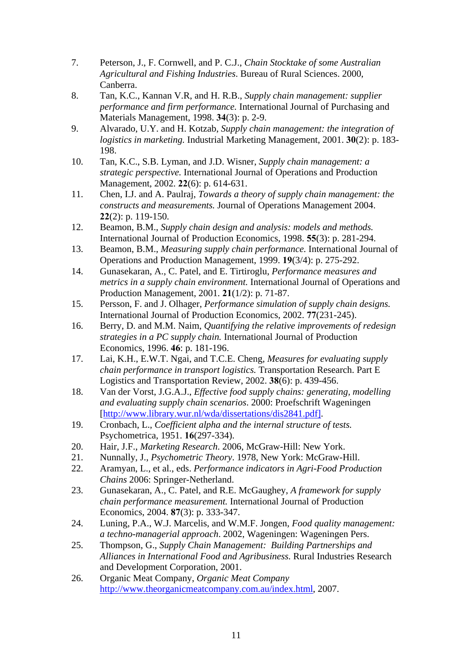- 7. Peterson, J., F. Cornwell, and P. C.J., *Chain Stocktake of some Australian Agricultural and Fishing Industries*. Bureau of Rural Sciences. 2000, Canberra.
- 8. Tan, K.C., Kannan V.R, and H. R.B., *Supply chain management: supplier performance and firm performance.* International Journal of Purchasing and Materials Management, 1998. **34**(3): p. 2-9.
- 9. Alvarado, U.Y. and H. Kotzab, *Supply chain management: the integration of logistics in marketing.* Industrial Marketing Management, 2001. **30**(2): p. 183- 198.
- 10. Tan, K.C., S.B. Lyman, and J.D. Wisner, *Supply chain management: a strategic perspective.* International Journal of Operations and Production Management, 2002. **22**(6): p. 614-631.
- 11. Chen, I.J. and A. Paulraj, *Towards a theory of supply chain management: the constructs and measurements.* Journal of Operations Management 2004. **22**(2): p. 119-150.
- 12. Beamon, B.M., *Supply chain design and analysis: models and methods.* International Journal of Production Economics, 1998. **55**(3): p. 281-294.
- 13. Beamon, B.M., *Measuring supply chain performance.* International Journal of Operations and Production Management, 1999. **19**(3/4): p. 275-292.
- 14. Gunasekaran, A., C. Patel, and E. Tirtiroglu, *Performance measures and metrics in a supply chain environment.* International Journal of Operations and Production Management, 2001. **21**(1/2): p. 71-87.
- 15. Persson, F. and J. Olhager, *Performance simulation of supply chain designs.* International Journal of Production Economics, 2002. **77**(231-245).
- 16. Berry, D. and M.M. Naim, *Quantifying the relative improvements of redesign strategies in a PC supply chain.* International Journal of Production Economics, 1996. **46**: p. 181-196.
- 17. Lai, K.H., E.W.T. Ngai, and T.C.E. Cheng, *Measures for evaluating supply chain performance in transport logistics.* Transportation Research. Part E Logistics and Transportation Review, 2002. **38**(6): p. 439-456.
- 18. Van der Vorst, J.G.A.J., *Effective food supply chains: generating, modelling and evaluating supply chain scenarios*. 2000: Proefschrift Wageningen [[http://www.library.wur.nl/wda/dissertations/dis2841.pdf\].](http://www.library.wur.nl/wda/dissertations/dis2841.pdf%5D)
- 19. Cronbach, L., *Coefficient alpha and the internal structure of tests.* Psychometrica, 1951. **16**(297-334).
- 20. Hair, J.F., *Marketing Research*. 2006, McGraw-Hill: New York.
- 21. Nunnally, J., *Psychometric Theory*. 1978, New York: McGraw-Hill.
- 22. Aramyan, L., et al., eds. *Performance indicators in Agri-Food Production Chains* 2006: Springer-Netherland.
- 23. Gunasekaran, A., C. Patel, and R.E. McGaughey, *A framework for supply chain performance measurement.* International Journal of Production Economics, 2004. **87**(3): p. 333-347.
- 24. Luning, P.A., W.J. Marcelis, and W.M.F. Jongen, *Food quality management: a techno-managerial approach*. 2002, Wageningen: Wageningen Pers.
- 25. Thompson, G., *Supply Chain Management: Building Partnerships and Alliances in International Food and Agribusiness.* Rural Industries Research and Development Corporation, 2001.
- 26. Organic Meat Company, *Organic Meat Company*  [http://www.theorganicmeatcompany.com.au/index.html,](http://www.theorganicmeatcompany.com.au/index.html) 2007.